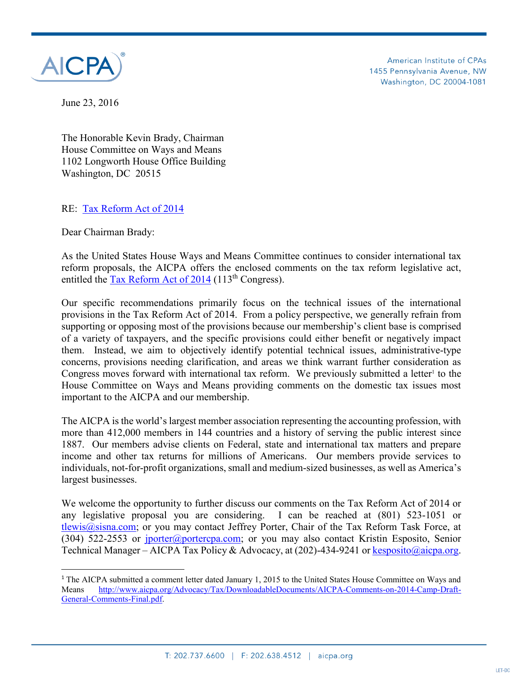

American Institute of CPAs 1455 Pennsylvania Avenue, NW Washington, DC 20004-1081

June 23, 2016

The Honorable Kevin Brady, Chairman House Committee on Ways and Means 1102 Longworth House Office Building Washington, DC 20515

#### RE: [Tax Reform Act of 2014](http://waysandmeans.house.gov/UploadedFiles/Statutory_Text_Tax_Reform_Act_of_2014_Discussion_Draft__022614.pdf)

Dear Chairman Brady:

 $\overline{\phantom{a}}$ 

As the United States House Ways and Means Committee continues to consider international tax reform proposals, the AICPA offers the enclosed comments on the tax reform legislative act, entitled the [Tax Reform Act of 2014](http://waysandmeans.house.gov/UploadedFiles/Statutory_Text_Tax_Reform_Act_of_2014_Discussion_Draft__022614.pdf) (113<sup>th</sup> Congress).

Our specific recommendations primarily focus on the technical issues of the international provisions in the Tax Reform Act of 2014. From a policy perspective, we generally refrain from supporting or opposing most of the provisions because our membership's client base is comprised of a variety of taxpayers, and the specific provisions could either benefit or negatively impact them. Instead, we aim to objectively identify potential technical issues, administrative-type concerns, provisions needing clarification, and areas we think warrant further consideration as Congress moves forward with international tax reform. We previously submitted a letter<sup>1</sup> to the House Committee on Ways and Means providing comments on the domestic tax issues most important to the AICPA and our membership.

The AICPA is the world's largest member association representing the accounting profession, with more than 412,000 members in 144 countries and a history of serving the public interest since 1887. Our members advise clients on Federal, state and international tax matters and prepare income and other tax returns for millions of Americans. Our members provide services to individuals, not-for-profit organizations, small and medium-sized businesses, as well as America's largest businesses.

We welcome the opportunity to further discuss our comments on the Tax Reform Act of 2014 or any legislative proposal you are considering. I can be reached at (801) 523-1051 or [tlewis@sisna.com;](mailto:tlewis@sisna.com) or you may contact Jeffrey Porter, Chair of the Tax Reform Task Force, at (304) 522-2553 or [jporter@portercpa.com;](mailto:jporter@portercpa.com) or you may also contact Kristin Esposito, Senior Technical Manager – AICPA Tax Policy & Advocacy, at (202)-434-9241 or [kesposito@aicpa.org.](mailto:kesposito@aicpa.org)

<sup>&</sup>lt;sup>1</sup> The AICPA submitted a comment letter dated January 1, 2015 to the United States House Committee on Ways and Means [http://www.aicpa.org/Advocacy/Tax/DownloadableDocuments/AICPA-Comments-on-2014-Camp-Draft-](http://www.aicpa.org/Advocacy/Tax/DownloadableDocuments/AICPA-Comments-on-2014-Camp-Draft-General-Comments-Final.pdf)[General-Comments-Final.pdf.](http://www.aicpa.org/Advocacy/Tax/DownloadableDocuments/AICPA-Comments-on-2014-Camp-Draft-General-Comments-Final.pdf)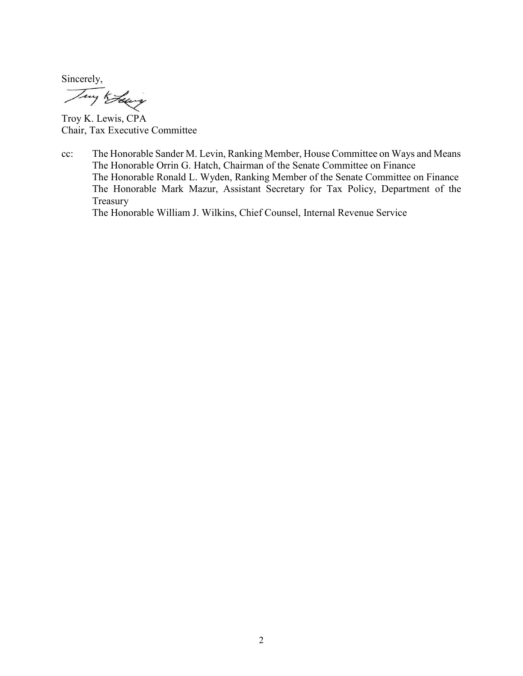Sincerely,

Troy K. Lewis, CPA Chair, Tax Executive Committee

cc: The Honorable Sander M. Levin, Ranking Member, House Committee on Ways and Means The Honorable Orrin G. Hatch, Chairman of the Senate Committee on Finance The Honorable Ronald L. Wyden, Ranking Member of the Senate Committee on Finance The Honorable Mark Mazur, Assistant Secretary for Tax Policy, Department of the Treasury

The Honorable William J. Wilkins, Chief Counsel, Internal Revenue Service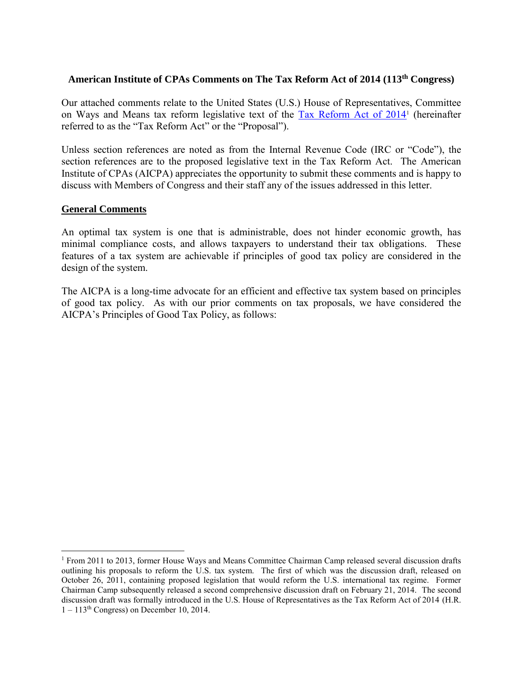## **American Institute of CPAs Comments on The Tax Reform Act of 2014 (113th Congress)**

Our attached comments relate to the United States (U.S.) House of Representatives, Committee on Ways and Means tax reform legislative text of the **Tax Reform Act of 2014** (hereinafter referred to as the "Tax Reform Act" or the "Proposal").

Unless section references are noted as from the Internal Revenue Code (IRC or "Code"), the section references are to the proposed legislative text in the Tax Reform Act. The American Institute of CPAs (AICPA) appreciates the opportunity to submit these comments and is happy to discuss with Members of Congress and their staff any of the issues addressed in this letter.

#### **General Comments**

 $\overline{a}$ 

An optimal tax system is one that is administrable, does not hinder economic growth, has minimal compliance costs, and allows taxpayers to understand their tax obligations. These features of a tax system are achievable if principles of good tax policy are considered in the design of the system.

The AICPA is a long-time advocate for an efficient and effective tax system based on principles of good tax policy. As with our prior comments on tax proposals, we have considered the AICPA's Principles of Good Tax Policy, as follows:

<sup>&</sup>lt;sup>1</sup> From 2011 to 2013, former House Ways and Means Committee Chairman Camp released several discussion drafts outlining his proposals to reform the U.S. tax system. The first of which was the discussion draft, released on October 26, 2011, containing proposed legislation that would reform the U.S. international tax regime. Former Chairman Camp subsequently released a second comprehensive discussion draft on February 21, 2014. The second discussion draft was formally introduced in the U.S. House of Representatives as the Tax Reform Act of 2014 (H.R.  $1 - 113<sup>th</sup> Congress$ ) on December 10, 2014.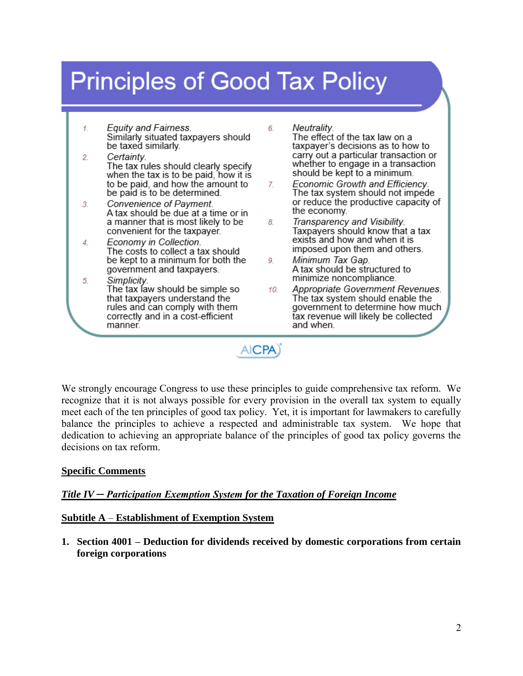# **Principles of Good Tax Policy**

6.

- **Equity and Fairness.** 1. Similarly situated taxpayers should be taxed similarly.
- $\overline{2}$ . Certainty. The tax rules should clearly specify when the tax is to be paid, how it is to be paid, and how the amount to be paid is to be determined.
- Convenience of Payment.  $\overline{3}$ A tax should be due at a time or in a manner that is most likely to be convenient for the taxpayer.
- Economy in Collection. 4. The costs to collect a tax should be kept to a minimum for both the government and taxpayers.
- Simplicity.  $5.$ The tax law should be simple so that taxpayers understand the rules and can comply with them correctly and in a cost-efficient manner.
- Neutralitv. The effect of the tax law on a taxpayer's decisions as to how to carry out a particular transaction or whether to engage in a transaction should be kept to a minimum.
- Economic Growth and Efficiency. 7. The tax system should not impede or reduce the productive capacity of the economy.
- Transparency and Visibility. 8. Taxpayers should know that a tax exists and how and when it is imposed upon them and others.
- Minimum Tax Gap. 9. A tax should be structured to minimize noncompliance.
- Appropriate Government Revenues. 10 The tax system should enable the government to determine how much tax revenue will likely be collected and when.

**AICPA** 

We strongly encourage Congress to use these principles to guide comprehensive tax reform. We recognize that it is not always possible for every provision in the overall tax system to equally meet each of the ten principles of good tax policy. Yet, it is important for lawmakers to carefully balance the principles to achieve a respected and administrable tax system. We hope that dedication to achieving an appropriate balance of the principles of good tax policy governs the decisions on tax reform.

# **Specific Comments**

# *Title IV ─ Participation Exemption System for the Taxation of Foreign Income*

## **Subtitle A** – **Establishment of Exemption System**

**1. Section 4001 – Deduction for dividends received by domestic corporations from certain foreign corporations**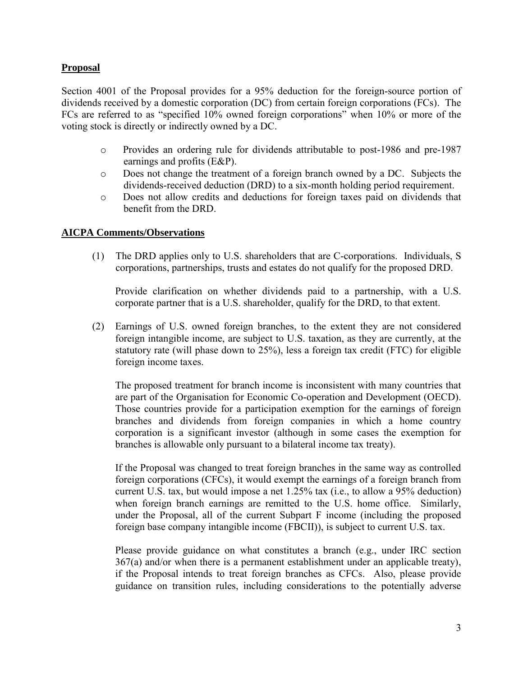## **Proposal**

Section 4001 of the Proposal provides for a 95% deduction for the foreign-source portion of dividends received by a domestic corporation (DC) from certain foreign corporations (FCs). The FCs are referred to as "specified 10% owned foreign corporations" when 10% or more of the voting stock is directly or indirectly owned by a DC.

- o Provides an ordering rule for dividends attributable to post-1986 and pre-1987 earnings and profits (E&P).
- o Does not change the treatment of a foreign branch owned by a DC. Subjects the dividends-received deduction (DRD) to a six-month holding period requirement.
- o Does not allow credits and deductions for foreign taxes paid on dividends that benefit from the DRD.

#### **AICPA Comments/Observations**

(1) The DRD applies only to U.S. shareholders that are C-corporations. Individuals, S corporations, partnerships, trusts and estates do not qualify for the proposed DRD.

Provide clarification on whether dividends paid to a partnership, with a U.S. corporate partner that is a U.S. shareholder, qualify for the DRD, to that extent.

(2) Earnings of U.S. owned foreign branches, to the extent they are not considered foreign intangible income, are subject to U.S. taxation, as they are currently, at the statutory rate (will phase down to 25%), less a foreign tax credit (FTC) for eligible foreign income taxes.

The proposed treatment for branch income is inconsistent with many countries that are part of the Organisation for Economic Co-operation and Development (OECD). Those countries provide for a participation exemption for the earnings of foreign branches and dividends from foreign companies in which a home country corporation is a significant investor (although in some cases the exemption for branches is allowable only pursuant to a bilateral income tax treaty).

If the Proposal was changed to treat foreign branches in the same way as controlled foreign corporations (CFCs), it would exempt the earnings of a foreign branch from current U.S. tax, but would impose a net 1.25% tax (i.e., to allow a 95% deduction) when foreign branch earnings are remitted to the U.S. home office. Similarly, under the Proposal, all of the current Subpart F income (including the proposed foreign base company intangible income (FBCII)), is subject to current U.S. tax.

Please provide guidance on what constitutes a branch (e.g., under IRC section 367(a) and/or when there is a permanent establishment under an applicable treaty), if the Proposal intends to treat foreign branches as CFCs. Also, please provide guidance on transition rules, including considerations to the potentially adverse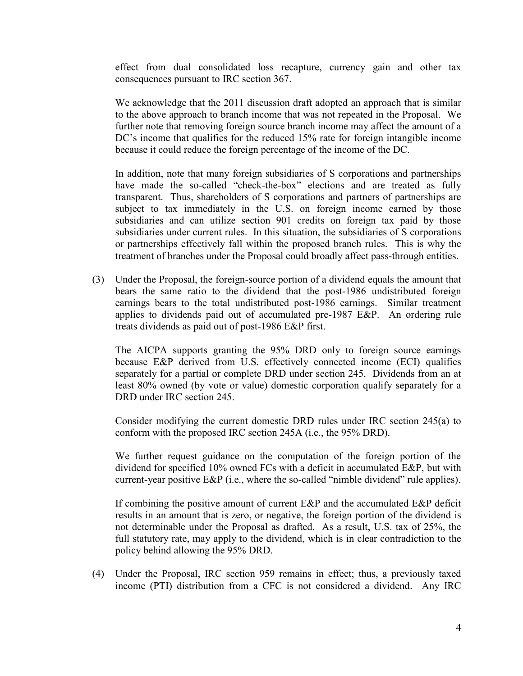effect from dual consolidated loss recapture, currency gain and other tax consequences pursuant to IRC section 367.

We acknowledge that the 2011 discussion draft adopted an approach that is similar to the above approach to branch income that was not repeated in the Proposal. We further note that removing foreign source branch income may affect the amount of a DC's income that qualifies for the reduced 15% rate for foreign intangible income because it could reduce the foreign percentage of the income of the DC.

In addition, note that many foreign subsidiaries of S corporations and partnerships have made the so-called "check-the-box" elections and are treated as fully transparent. Thus, shareholders of S corporations and partners of partnerships are subject to tax immediately in the U.S. on foreign income earned by those subsidiaries and can utilize section 901 credits on foreign tax paid by those subsidiaries under current rules. In this situation, the subsidiaries of S corporations or partnerships effectively fall within the proposed branch rules. This is why the treatment of branches under the Proposal could broadly affect pass-through entities.

(3) Under the Proposal, the foreign-source portion of a dividend equals the amount that bears the same ratio to the dividend that the post-1986 undistributed foreign earnings bears to the total undistributed post-1986 earnings. Similar treatment applies to dividends paid out of accumulated pre-1987 E&P. An ordering rule treats dividends as paid out of post-1986 E&P first.

The AICPA supports granting the 95% DRD only to foreign source earnings because E&P derived from U.S. effectively connected income (ECI) qualifies separately for a partial or complete DRD under section 245. Dividends from an at least 80% owned (by vote or value) domestic corporation qualify separately for a DRD under IRC section 245.

Consider modifying the current domestic DRD rules under IRC section 245(a) to conform with the proposed IRC section 245A (i.e., the 95% DRD).

We further request guidance on the computation of the foreign portion of the dividend for specified 10% owned FCs with a deficit in accumulated E&P, but with current-year positive E&P (i.e., where the so-called "nimble dividend" rule applies).

If combining the positive amount of current E&P and the accumulated E&P deficit results in an amount that is zero, or negative, the foreign portion of the dividend is not determinable under the Proposal as drafted. As a result, U.S. tax of 25%, the full statutory rate, may apply to the dividend, which is in clear contradiction to the policy behind allowing the 95% DRD.

(4) Under the Proposal, IRC section 959 remains in effect; thus, a previously taxed income (PTI) distribution from a CFC is not considered a dividend. Any IRC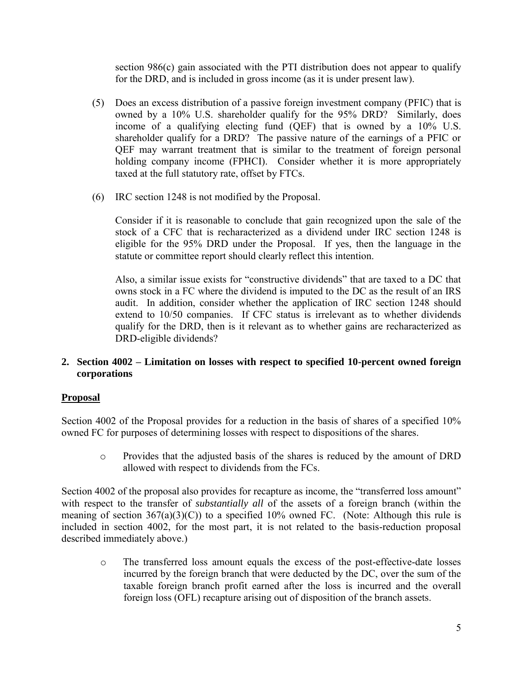section 986(c) gain associated with the PTI distribution does not appear to qualify for the DRD, and is included in gross income (as it is under present law).

- (5) Does an excess distribution of a passive foreign investment company (PFIC) that is owned by a 10% U.S. shareholder qualify for the 95% DRD? Similarly, does income of a qualifying electing fund (QEF) that is owned by a 10% U.S. shareholder qualify for a DRD? The passive nature of the earnings of a PFIC or QEF may warrant treatment that is similar to the treatment of foreign personal holding company income (FPHCI). Consider whether it is more appropriately taxed at the full statutory rate, offset by FTCs.
- (6) IRC section 1248 is not modified by the Proposal.

Consider if it is reasonable to conclude that gain recognized upon the sale of the stock of a CFC that is recharacterized as a dividend under IRC section 1248 is eligible for the 95% DRD under the Proposal. If yes, then the language in the statute or committee report should clearly reflect this intention.

Also, a similar issue exists for "constructive dividends" that are taxed to a DC that owns stock in a FC where the dividend is imputed to the DC as the result of an IRS audit. In addition, consider whether the application of IRC section 1248 should extend to 10/50 companies. If CFC status is irrelevant as to whether dividends qualify for the DRD, then is it relevant as to whether gains are recharacterized as DRD-eligible dividends?

# **2. Section 4002 – Limitation on losses with respect to specified 10-percent owned foreign corporations**

# **Proposal**

Section 4002 of the Proposal provides for a reduction in the basis of shares of a specified 10% owned FC for purposes of determining losses with respect to dispositions of the shares.

o Provides that the adjusted basis of the shares is reduced by the amount of DRD allowed with respect to dividends from the FCs.

Section 4002 of the proposal also provides for recapture as income, the "transferred loss amount" with respect to the transfer of *substantially all* of the assets of a foreign branch (within the meaning of section  $367(a)(3)(C)$  to a specified 10% owned FC. (Note: Although this rule is included in section 4002, for the most part, it is not related to the basis-reduction proposal described immediately above.)

o The transferred loss amount equals the excess of the post-effective-date losses incurred by the foreign branch that were deducted by the DC, over the sum of the taxable foreign branch profit earned after the loss is incurred and the overall foreign loss (OFL) recapture arising out of disposition of the branch assets.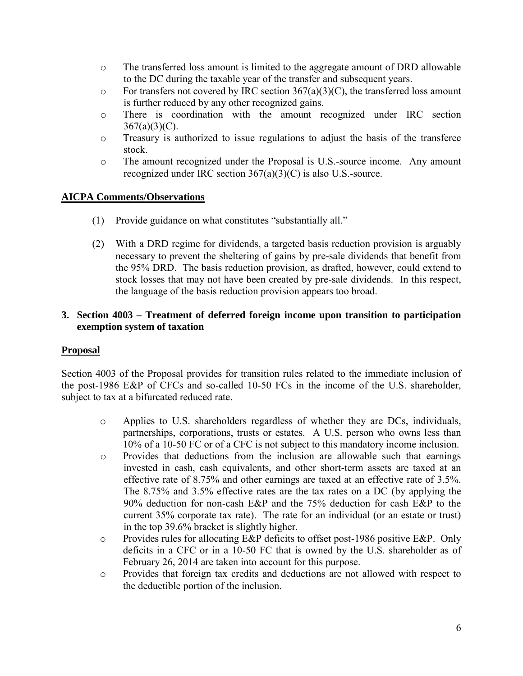- o The transferred loss amount is limited to the aggregate amount of DRD allowable to the DC during the taxable year of the transfer and subsequent years.
- $\circ$  For transfers not covered by IRC section 367(a)(3)(C), the transferred loss amount is further reduced by any other recognized gains.
- o There is coordination with the amount recognized under IRC section  $367(a)(3)(C)$ .
- o Treasury is authorized to issue regulations to adjust the basis of the transferee stock.
- o The amount recognized under the Proposal is U.S.-source income. Any amount recognized under IRC section 367(a)(3)(C) is also U.S.-source.

- (1) Provide guidance on what constitutes "substantially all."
- (2) With a DRD regime for dividends, a targeted basis reduction provision is arguably necessary to prevent the sheltering of gains by pre-sale dividends that benefit from the 95% DRD. The basis reduction provision, as drafted, however, could extend to stock losses that may not have been created by pre-sale dividends. In this respect, the language of the basis reduction provision appears too broad.

# **3. Section 4003 – Treatment of deferred foreign income upon transition to participation exemption system of taxation**

## **Proposal**

Section 4003 of the Proposal provides for transition rules related to the immediate inclusion of the post-1986 E&P of CFCs and so-called 10-50 FCs in the income of the U.S. shareholder, subject to tax at a bifurcated reduced rate.

- o Applies to U.S. shareholders regardless of whether they are DCs, individuals, partnerships, corporations, trusts or estates. A U.S. person who owns less than 10% of a 10-50 FC or of a CFC is not subject to this mandatory income inclusion.
- o Provides that deductions from the inclusion are allowable such that earnings invested in cash, cash equivalents, and other short-term assets are taxed at an effective rate of 8.75% and other earnings are taxed at an effective rate of 3.5%. The 8.75% and 3.5% effective rates are the tax rates on a DC (by applying the 90% deduction for non-cash E&P and the 75% deduction for cash E&P to the current 35% corporate tax rate). The rate for an individual (or an estate or trust) in the top 39.6% bracket is slightly higher.
- o Provides rules for allocating E&P deficits to offset post-1986 positive E&P. Only deficits in a CFC or in a 10-50 FC that is owned by the U.S. shareholder as of February 26, 2014 are taken into account for this purpose.
- o Provides that foreign tax credits and deductions are not allowed with respect to the deductible portion of the inclusion.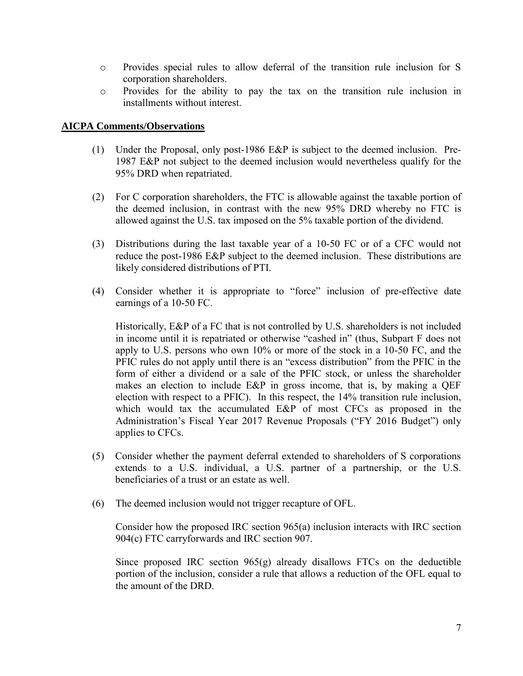- o Provides special rules to allow deferral of the transition rule inclusion for S corporation shareholders.
- o Provides for the ability to pay the tax on the transition rule inclusion in installments without interest.

- (1) Under the Proposal, only post-1986 E&P is subject to the deemed inclusion. Pre-1987 E&P not subject to the deemed inclusion would nevertheless qualify for the 95% DRD when repatriated.
- (2) For C corporation shareholders, the FTC is allowable against the taxable portion of the deemed inclusion, in contrast with the new 95% DRD whereby no FTC is allowed against the U.S. tax imposed on the 5% taxable portion of the dividend.
- (3) Distributions during the last taxable year of a 10-50 FC or of a CFC would not reduce the post-1986 E&P subject to the deemed inclusion. These distributions are likely considered distributions of PTI.
- (4) Consider whether it is appropriate to "force" inclusion of pre-effective date earnings of a 10-50 FC.

Historically, E&P of a FC that is not controlled by U.S. shareholders is not included in income until it is repatriated or otherwise "cashed in" (thus, Subpart F does not apply to U.S. persons who own 10% or more of the stock in a 10-50 FC, and the PFIC rules do not apply until there is an "excess distribution" from the PFIC in the form of either a dividend or a sale of the PFIC stock, or unless the shareholder makes an election to include E&P in gross income, that is, by making a QEF election with respect to a PFIC). In this respect, the 14% transition rule inclusion, which would tax the accumulated E&P of most CFCs as proposed in the Administration's Fiscal Year 2017 Revenue Proposals ("FY 2016 Budget") only applies to CFCs.

- (5) Consider whether the payment deferral extended to shareholders of S corporations extends to a U.S. individual, a U.S. partner of a partnership, or the U.S. beneficiaries of a trust or an estate as well.
- (6) The deemed inclusion would not trigger recapture of OFL.

Consider how the proposed IRC section 965(a) inclusion interacts with IRC section 904(c) FTC carryforwards and IRC section 907.

Since proposed IRC section 965(g) already disallows FTCs on the deductible portion of the inclusion, consider a rule that allows a reduction of the OFL equal to the amount of the DRD.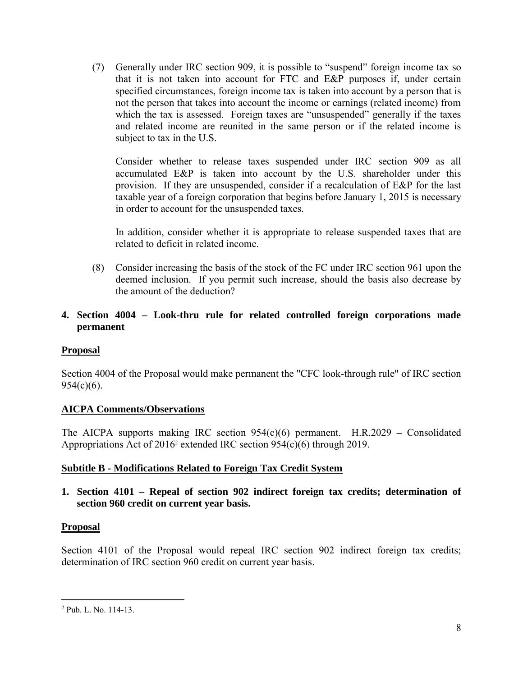(7) Generally under IRC section 909, it is possible to "suspend" foreign income tax so that it is not taken into account for FTC and E&P purposes if, under certain specified circumstances, foreign income tax is taken into account by a person that is not the person that takes into account the income or earnings (related income) from which the tax is assessed. Foreign taxes are "unsuspended" generally if the taxes and related income are reunited in the same person or if the related income is subject to tax in the U.S.

Consider whether to release taxes suspended under IRC section 909 as all accumulated E&P is taken into account by the U.S. shareholder under this provision. If they are unsuspended, consider if a recalculation of E&P for the last taxable year of a foreign corporation that begins before January 1, 2015 is necessary in order to account for the unsuspended taxes.

In addition, consider whether it is appropriate to release suspended taxes that are related to deficit in related income.

(8) Consider increasing the basis of the stock of the FC under IRC section 961 upon the deemed inclusion. If you permit such increase, should the basis also decrease by the amount of the deduction?

# **4. Section 4004 – Look-thru rule for related controlled foreign corporations made permanent**

## **Proposal**

Section 4004 of the Proposal would make permanent the "CFC look-through rule" of IRC section 954(c)(6).

## **AICPA Comments/Observations**

The AICPA supports making IRC section 954(c)(6) permanent. H.R.2029 **–** Consolidated Appropriations Act of 2016<sup>2</sup> extended IRC section 954(c)(6) through 2019.

## **Subtitle B - Modifications Related to Foreign Tax Credit System**

**1. Section 4101 – Repeal of section 902 indirect foreign tax credits; determination of section 960 credit on current year basis.** 

# **Proposal**

 $\overline{a}$ 

Section 4101 of the Proposal would repeal IRC section 902 indirect foreign tax credits; determination of IRC section 960 credit on current year basis.

<sup>2</sup> Pub. L. No. 114-13.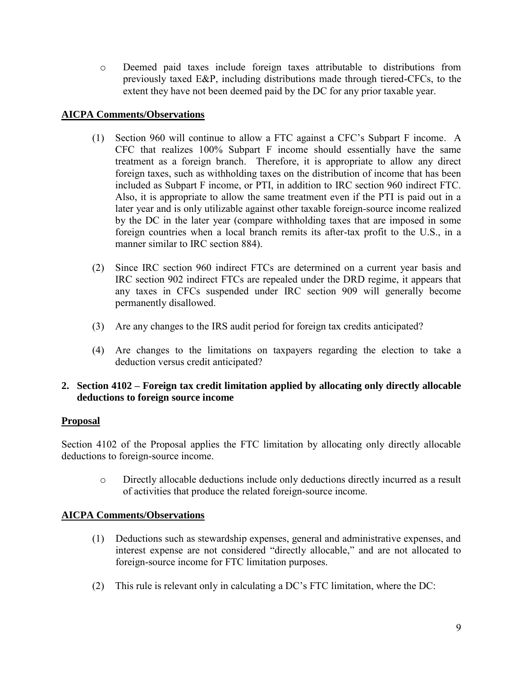o Deemed paid taxes include foreign taxes attributable to distributions from previously taxed E&P, including distributions made through tiered-CFCs, to the extent they have not been deemed paid by the DC for any prior taxable year.

# **AICPA Comments/Observations**

- (1) Section 960 will continue to allow a FTC against a CFC's Subpart F income. A CFC that realizes 100% Subpart F income should essentially have the same treatment as a foreign branch. Therefore, it is appropriate to allow any direct foreign taxes, such as withholding taxes on the distribution of income that has been included as Subpart F income, or PTI, in addition to IRC section 960 indirect FTC. Also, it is appropriate to allow the same treatment even if the PTI is paid out in a later year and is only utilizable against other taxable foreign-source income realized by the DC in the later year (compare withholding taxes that are imposed in some foreign countries when a local branch remits its after-tax profit to the U.S., in a manner similar to IRC section 884).
- (2) Since IRC section 960 indirect FTCs are determined on a current year basis and IRC section 902 indirect FTCs are repealed under the DRD regime, it appears that any taxes in CFCs suspended under IRC section 909 will generally become permanently disallowed.
- (3) Are any changes to the IRS audit period for foreign tax credits anticipated?
- (4) Are changes to the limitations on taxpayers regarding the election to take a deduction versus credit anticipated?

## **2. Section 4102 – Foreign tax credit limitation applied by allocating only directly allocable deductions to foreign source income**

## **Proposal**

Section 4102 of the Proposal applies the FTC limitation by allocating only directly allocable deductions to foreign-source income.

o Directly allocable deductions include only deductions directly incurred as a result of activities that produce the related foreign-source income.

# **AICPA Comments/Observations**

- (1) Deductions such as stewardship expenses, general and administrative expenses, and interest expense are not considered "directly allocable," and are not allocated to foreign-source income for FTC limitation purposes.
- (2) This rule is relevant only in calculating a DC's FTC limitation, where the DC: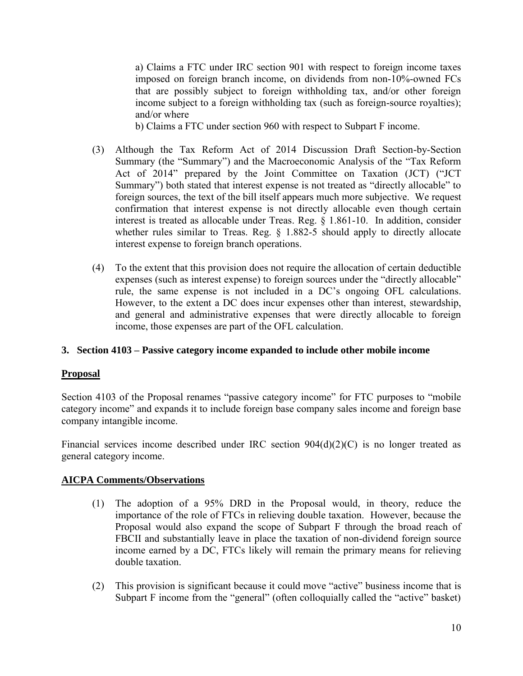a) Claims a FTC under IRC section 901 with respect to foreign income taxes imposed on foreign branch income, on dividends from non-10%-owned FCs that are possibly subject to foreign withholding tax, and/or other foreign income subject to a foreign withholding tax (such as foreign-source royalties); and/or where

b) Claims a FTC under section 960 with respect to Subpart F income.

- (3) Although the Tax Reform Act of 2014 Discussion Draft Section-by-Section Summary (the "Summary") and the Macroeconomic Analysis of the "Tax Reform Act of 2014" prepared by the Joint Committee on Taxation (JCT) ("JCT Summary") both stated that interest expense is not treated as "directly allocable" to foreign sources, the text of the bill itself appears much more subjective. We request confirmation that interest expense is not directly allocable even though certain interest is treated as allocable under Treas. Reg. § 1.861-10. In addition, consider whether rules similar to Treas. Reg. § 1.882-5 should apply to directly allocate interest expense to foreign branch operations.
- (4) To the extent that this provision does not require the allocation of certain deductible expenses (such as interest expense) to foreign sources under the "directly allocable" rule, the same expense is not included in a DC's ongoing OFL calculations. However, to the extent a DC does incur expenses other than interest, stewardship, and general and administrative expenses that were directly allocable to foreign income, those expenses are part of the OFL calculation.

## **3. Section 4103 – Passive category income expanded to include other mobile income**

## **Proposal**

Section 4103 of the Proposal renames "passive category income" for FTC purposes to "mobile category income" and expands it to include foreign base company sales income and foreign base company intangible income.

Financial services income described under IRC section 904(d)(2)(C) is no longer treated as general category income.

## **AICPA Comments/Observations**

- (1) The adoption of a 95% DRD in the Proposal would, in theory, reduce the importance of the role of FTCs in relieving double taxation. However, because the Proposal would also expand the scope of Subpart F through the broad reach of FBCII and substantially leave in place the taxation of non-dividend foreign source income earned by a DC, FTCs likely will remain the primary means for relieving double taxation.
- (2) This provision is significant because it could move "active" business income that is Subpart F income from the "general" (often colloquially called the "active" basket)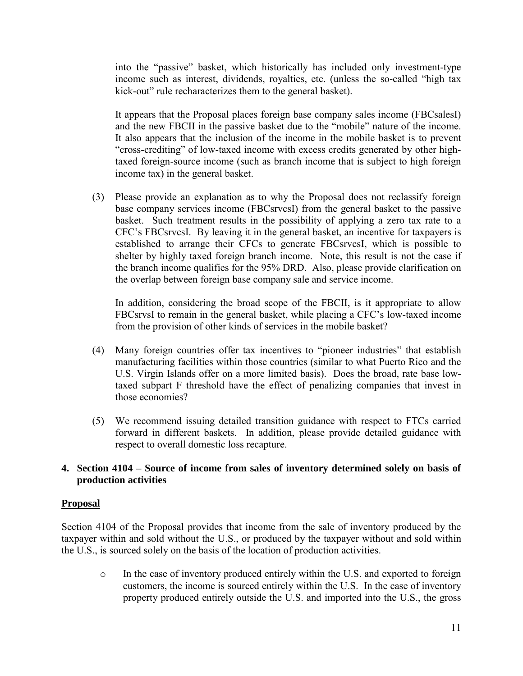into the "passive" basket, which historically has included only investment-type income such as interest, dividends, royalties, etc. (unless the so-called "high tax kick-out" rule recharacterizes them to the general basket).

It appears that the Proposal places foreign base company sales income (FBCsalesI) and the new FBCII in the passive basket due to the "mobile" nature of the income. It also appears that the inclusion of the income in the mobile basket is to prevent "cross-crediting" of low-taxed income with excess credits generated by other hightaxed foreign-source income (such as branch income that is subject to high foreign income tax) in the general basket.

(3) Please provide an explanation as to why the Proposal does not reclassify foreign base company services income (FBCsrvcsI) from the general basket to the passive basket. Such treatment results in the possibility of applying a zero tax rate to a CFC's FBCsrvcsI. By leaving it in the general basket, an incentive for taxpayers is established to arrange their CFCs to generate FBCsrvcsI, which is possible to shelter by highly taxed foreign branch income. Note, this result is not the case if the branch income qualifies for the 95% DRD. Also, please provide clarification on the overlap between foreign base company sale and service income.

In addition, considering the broad scope of the FBCII, is it appropriate to allow FBCsrvsI to remain in the general basket, while placing a CFC's low-taxed income from the provision of other kinds of services in the mobile basket?

- (4) Many foreign countries offer tax incentives to "pioneer industries" that establish manufacturing facilities within those countries (similar to what Puerto Rico and the U.S. Virgin Islands offer on a more limited basis). Does the broad, rate base lowtaxed subpart F threshold have the effect of penalizing companies that invest in those economies?
- (5) We recommend issuing detailed transition guidance with respect to FTCs carried forward in different baskets. In addition, please provide detailed guidance with respect to overall domestic loss recapture.

## **4. Section 4104 – Source of income from sales of inventory determined solely on basis of production activities**

## **Proposal**

Section 4104 of the Proposal provides that income from the sale of inventory produced by the taxpayer within and sold without the U.S., or produced by the taxpayer without and sold within the U.S., is sourced solely on the basis of the location of production activities.

o In the case of inventory produced entirely within the U.S. and exported to foreign customers, the income is sourced entirely within the U.S. In the case of inventory property produced entirely outside the U.S. and imported into the U.S., the gross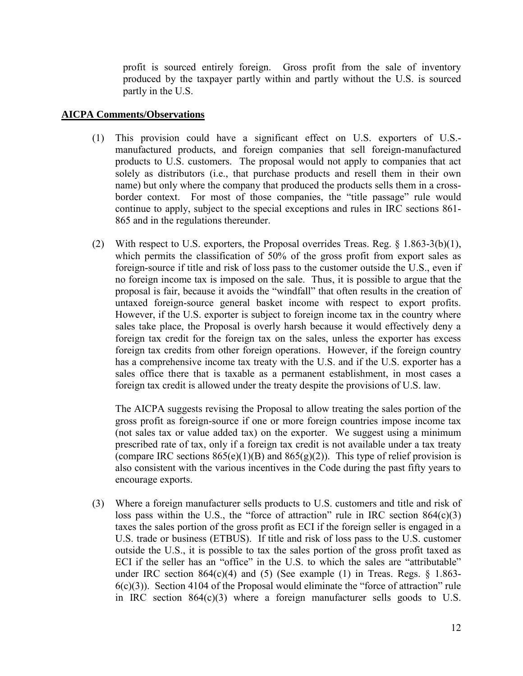profit is sourced entirely foreign. Gross profit from the sale of inventory produced by the taxpayer partly within and partly without the U.S. is sourced partly in the U.S.

#### **AICPA Comments/Observations**

- (1) This provision could have a significant effect on U.S. exporters of U.S. manufactured products, and foreign companies that sell foreign-manufactured products to U.S. customers. The proposal would not apply to companies that act solely as distributors (i.e., that purchase products and resell them in their own name) but only where the company that produced the products sells them in a crossborder context. For most of those companies, the "title passage" rule would continue to apply, subject to the special exceptions and rules in IRC sections 861- 865 and in the regulations thereunder.
- (2) With respect to U.S. exporters, the Proposal overrides Treas. Reg. § 1.863-3(b)(1), which permits the classification of 50% of the gross profit from export sales as foreign-source if title and risk of loss pass to the customer outside the U.S., even if no foreign income tax is imposed on the sale. Thus, it is possible to argue that the proposal is fair, because it avoids the "windfall" that often results in the creation of untaxed foreign-source general basket income with respect to export profits. However, if the U.S. exporter is subject to foreign income tax in the country where sales take place, the Proposal is overly harsh because it would effectively deny a foreign tax credit for the foreign tax on the sales, unless the exporter has excess foreign tax credits from other foreign operations. However, if the foreign country has a comprehensive income tax treaty with the U.S. and if the U.S. exporter has a sales office there that is taxable as a permanent establishment, in most cases a foreign tax credit is allowed under the treaty despite the provisions of U.S. law.

The AICPA suggests revising the Proposal to allow treating the sales portion of the gross profit as foreign-source if one or more foreign countries impose income tax (not sales tax or value added tax) on the exporter. We suggest using a minimum prescribed rate of tax, only if a foreign tax credit is not available under a tax treaty (compare IRC sections  $865(e)(1)(B)$  and  $865(g)(2)$ ). This type of relief provision is also consistent with the various incentives in the Code during the past fifty years to encourage exports.

(3) Where a foreign manufacturer sells products to U.S. customers and title and risk of loss pass within the U.S., the "force of attraction" rule in IRC section  $864(c)(3)$ taxes the sales portion of the gross profit as ECI if the foreign seller is engaged in a U.S. trade or business (ETBUS). If title and risk of loss pass to the U.S. customer outside the U.S., it is possible to tax the sales portion of the gross profit taxed as ECI if the seller has an "office" in the U.S. to which the sales are "attributable" under IRC section  $864(c)(4)$  and  $(5)$  (See example  $(1)$  in Treas. Regs. § 1.863- $6(c)(3)$ ). Section 4104 of the Proposal would eliminate the "force of attraction" rule in IRC section 864(c)(3) where a foreign manufacturer sells goods to U.S.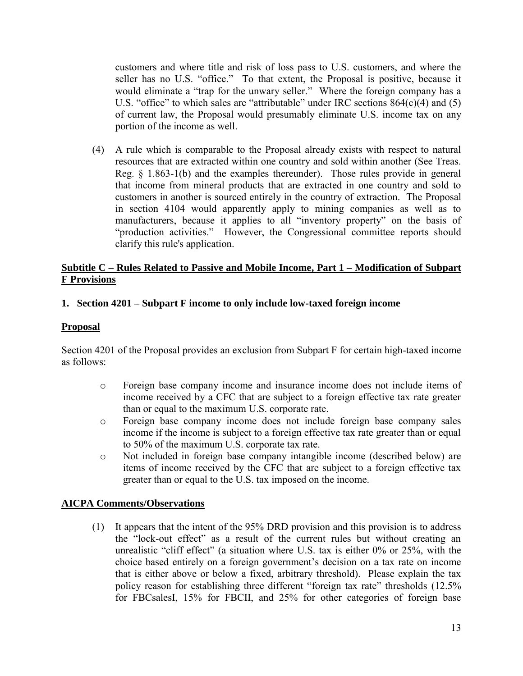customers and where title and risk of loss pass to U.S. customers, and where the seller has no U.S. "office." To that extent, the Proposal is positive, because it would eliminate a "trap for the unwary seller." Where the foreign company has a U.S. "office" to which sales are "attributable" under IRC sections 864(c)(4) and (5) of current law, the Proposal would presumably eliminate U.S. income tax on any portion of the income as well.

(4) A rule which is comparable to the Proposal already exists with respect to natural resources that are extracted within one country and sold within another (See Treas. Reg. § 1.863-1(b) and the examples thereunder). Those rules provide in general that income from mineral products that are extracted in one country and sold to customers in another is sourced entirely in the country of extraction. The Proposal in section 4104 would apparently apply to mining companies as well as to manufacturers, because it applies to all "inventory property" on the basis of "production activities." However, the Congressional committee reports should clarify this rule's application.

## **Subtitle C – Rules Related to Passive and Mobile Income, Part 1 – Modification of Subpart F Provisions**

## **1. Section 4201 – Subpart F income to only include low-taxed foreign income**

#### **Proposal**

Section 4201 of the Proposal provides an exclusion from Subpart F for certain high-taxed income as follows:

- o Foreign base company income and insurance income does not include items of income received by a CFC that are subject to a foreign effective tax rate greater than or equal to the maximum U.S. corporate rate.
- o Foreign base company income does not include foreign base company sales income if the income is subject to a foreign effective tax rate greater than or equal to 50% of the maximum U.S. corporate tax rate.
- o Not included in foreign base company intangible income (described below) are items of income received by the CFC that are subject to a foreign effective tax greater than or equal to the U.S. tax imposed on the income.

## **AICPA Comments/Observations**

(1) It appears that the intent of the 95% DRD provision and this provision is to address the "lock-out effect" as a result of the current rules but without creating an unrealistic "cliff effect" (a situation where U.S. tax is either 0% or 25%, with the choice based entirely on a foreign government's decision on a tax rate on income that is either above or below a fixed, arbitrary threshold). Please explain the tax policy reason for establishing three different "foreign tax rate" thresholds (12.5% for FBCsalesI, 15% for FBCII, and 25% for other categories of foreign base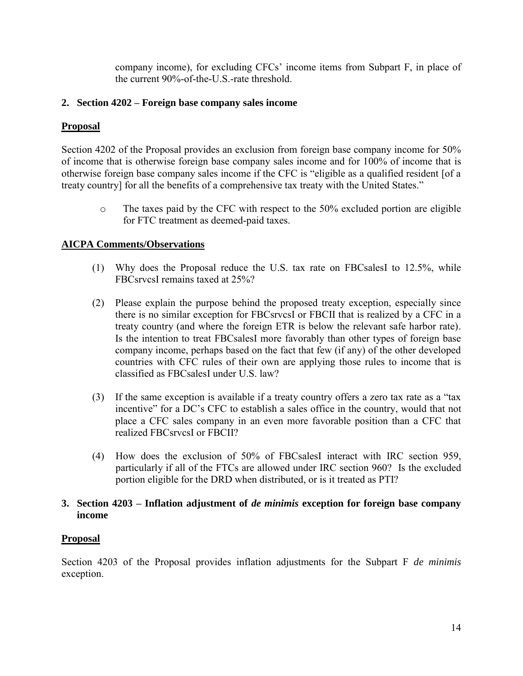company income), for excluding CFCs' income items from Subpart F, in place of the current 90%-of-the-U.S.-rate threshold.

# **2. Section 4202 – Foreign base company sales income**

# **Proposal**

Section 4202 of the Proposal provides an exclusion from foreign base company income for 50% of income that is otherwise foreign base company sales income and for 100% of income that is otherwise foreign base company sales income if the CFC is "eligible as a qualified resident [of a treaty country] for all the benefits of a comprehensive tax treaty with the United States."

o The taxes paid by the CFC with respect to the 50% excluded portion are eligible for FTC treatment as deemed-paid taxes.

# **AICPA Comments/Observations**

- (1) Why does the Proposal reduce the U.S. tax rate on FBCsalesI to 12.5%, while FBCsrvcsI remains taxed at 25%?
- (2) Please explain the purpose behind the proposed treaty exception, especially since there is no similar exception for FBCsrvcsI or FBCII that is realized by a CFC in a treaty country (and where the foreign ETR is below the relevant safe harbor rate). Is the intention to treat FBCsalesI more favorably than other types of foreign base company income, perhaps based on the fact that few (if any) of the other developed countries with CFC rules of their own are applying those rules to income that is classified as FBCsalesI under U.S. law?
- (3) If the same exception is available if a treaty country offers a zero tax rate as a "tax incentive" for a DC's CFC to establish a sales office in the country, would that not place a CFC sales company in an even more favorable position than a CFC that realized FBCsrvcsI or FBCII?
- (4) How does the exclusion of 50% of FBCsalesI interact with IRC section 959, particularly if all of the FTCs are allowed under IRC section 960? Is the excluded portion eligible for the DRD when distributed, or is it treated as PTI?

#### **3. Section 4203 – Inflation adjustment of** *de minimis* **exception for foreign base company income**

## **Proposal**

Section 4203 of the Proposal provides inflation adjustments for the Subpart F *de minimis* exception.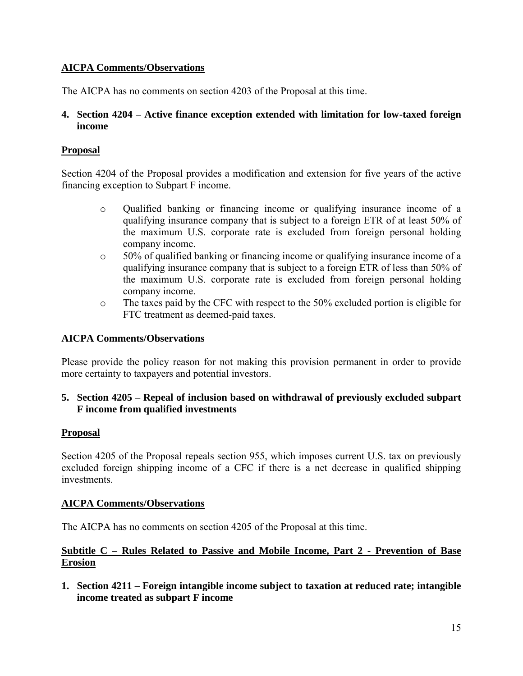The AICPA has no comments on section 4203 of the Proposal at this time.

## **4. Section 4204 – Active finance exception extended with limitation for low-taxed foreign income**

# **Proposal**

Section 4204 of the Proposal provides a modification and extension for five years of the active financing exception to Subpart F income.

- o Qualified banking or financing income or qualifying insurance income of a qualifying insurance company that is subject to a foreign ETR of at least 50% of the maximum U.S. corporate rate is excluded from foreign personal holding company income.
- o 50% of qualified banking or financing income or qualifying insurance income of a qualifying insurance company that is subject to a foreign ETR of less than 50% of the maximum U.S. corporate rate is excluded from foreign personal holding company income.
- o The taxes paid by the CFC with respect to the 50% excluded portion is eligible for FTC treatment as deemed-paid taxes.

# **AICPA Comments/Observations**

Please provide the policy reason for not making this provision permanent in order to provide more certainty to taxpayers and potential investors.

## **5. Section 4205 – Repeal of inclusion based on withdrawal of previously excluded subpart F income from qualified investments**

## **Proposal**

Section 4205 of the Proposal repeals section 955, which imposes current U.S. tax on previously excluded foreign shipping income of a CFC if there is a net decrease in qualified shipping investments.

## **AICPA Comments/Observations**

The AICPA has no comments on section 4205 of the Proposal at this time.

# **Subtitle C – Rules Related to Passive and Mobile Income, Part 2 - Prevention of Base Erosion**

**1. Section 4211 – Foreign intangible income subject to taxation at reduced rate; intangible income treated as subpart F income**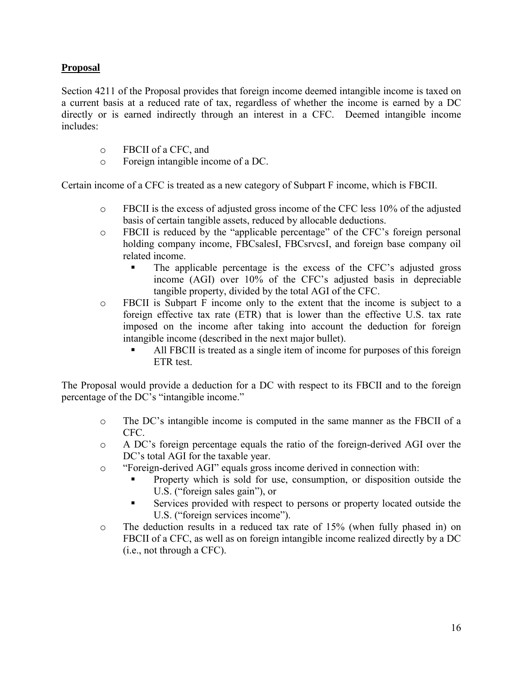## **Proposal**

Section 4211 of the Proposal provides that foreign income deemed intangible income is taxed on a current basis at a reduced rate of tax, regardless of whether the income is earned by a DC directly or is earned indirectly through an interest in a CFC. Deemed intangible income includes:

- o FBCII of a CFC, and
- o Foreign intangible income of a DC.

Certain income of a CFC is treated as a new category of Subpart F income, which is FBCII.

- o FBCII is the excess of adjusted gross income of the CFC less 10% of the adjusted basis of certain tangible assets, reduced by allocable deductions.
- o FBCII is reduced by the "applicable percentage" of the CFC's foreign personal holding company income, FBCsalesI, FBCsrvcsI, and foreign base company oil related income.
	- The applicable percentage is the excess of the CFC's adjusted gross income (AGI) over 10% of the CFC's adjusted basis in depreciable tangible property, divided by the total AGI of the CFC.
- o FBCII is Subpart F income only to the extent that the income is subject to a foreign effective tax rate (ETR) that is lower than the effective U.S. tax rate imposed on the income after taking into account the deduction for foreign intangible income (described in the next major bullet).
	- All FBCII is treated as a single item of income for purposes of this foreign ETR test.

The Proposal would provide a deduction for a DC with respect to its FBCII and to the foreign percentage of the DC's "intangible income."

- o The DC's intangible income is computed in the same manner as the FBCII of a CFC.
- o A DC's foreign percentage equals the ratio of the foreign-derived AGI over the DC's total AGI for the taxable year.
- o "Foreign-derived AGI" equals gross income derived in connection with:
	- Property which is sold for use, consumption, or disposition outside the U.S. ("foreign sales gain"), or
	- Services provided with respect to persons or property located outside the U.S. ("foreign services income").
- o The deduction results in a reduced tax rate of 15% (when fully phased in) on FBCII of a CFC, as well as on foreign intangible income realized directly by a DC (i.e., not through a CFC).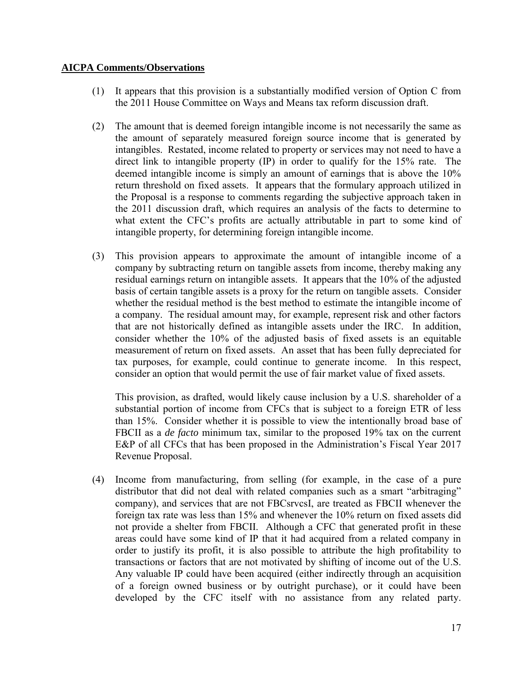- (1) It appears that this provision is a substantially modified version of Option C from the 2011 House Committee on Ways and Means tax reform discussion draft.
- (2) The amount that is deemed foreign intangible income is not necessarily the same as the amount of separately measured foreign source income that is generated by intangibles. Restated, income related to property or services may not need to have a direct link to intangible property (IP) in order to qualify for the 15% rate. The deemed intangible income is simply an amount of earnings that is above the 10% return threshold on fixed assets. It appears that the formulary approach utilized in the Proposal is a response to comments regarding the subjective approach taken in the 2011 discussion draft, which requires an analysis of the facts to determine to what extent the CFC's profits are actually attributable in part to some kind of intangible property, for determining foreign intangible income.
- (3) This provision appears to approximate the amount of intangible income of a company by subtracting return on tangible assets from income, thereby making any residual earnings return on intangible assets. It appears that the 10% of the adjusted basis of certain tangible assets is a proxy for the return on tangible assets. Consider whether the residual method is the best method to estimate the intangible income of a company. The residual amount may, for example, represent risk and other factors that are not historically defined as intangible assets under the IRC. In addition, consider whether the 10% of the adjusted basis of fixed assets is an equitable measurement of return on fixed assets. An asset that has been fully depreciated for tax purposes, for example, could continue to generate income. In this respect, consider an option that would permit the use of fair market value of fixed assets.

This provision, as drafted, would likely cause inclusion by a U.S. shareholder of a substantial portion of income from CFCs that is subject to a foreign ETR of less than 15%. Consider whether it is possible to view the intentionally broad base of FBCII as a *de facto* minimum tax, similar to the proposed 19% tax on the current E&P of all CFCs that has been proposed in the Administration's Fiscal Year 2017 Revenue Proposal.

(4) Income from manufacturing, from selling (for example, in the case of a pure distributor that did not deal with related companies such as a smart "arbitraging" company), and services that are not FBCsrvcsI, are treated as FBCII whenever the foreign tax rate was less than 15% and whenever the 10% return on fixed assets did not provide a shelter from FBCII. Although a CFC that generated profit in these areas could have some kind of IP that it had acquired from a related company in order to justify its profit, it is also possible to attribute the high profitability to transactions or factors that are not motivated by shifting of income out of the U.S. Any valuable IP could have been acquired (either indirectly through an acquisition of a foreign owned business or by outright purchase), or it could have been developed by the CFC itself with no assistance from any related party.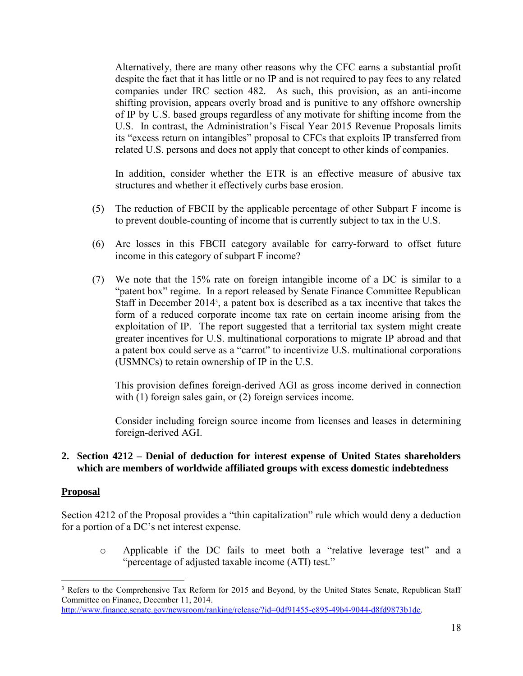Alternatively, there are many other reasons why the CFC earns a substantial profit despite the fact that it has little or no IP and is not required to pay fees to any related companies under IRC section 482. As such, this provision, as an anti-income shifting provision, appears overly broad and is punitive to any offshore ownership of IP by U.S. based groups regardless of any motivate for shifting income from the U.S. In contrast, the Administration's Fiscal Year 2015 Revenue Proposals limits its "excess return on intangibles" proposal to CFCs that exploits IP transferred from related U.S. persons and does not apply that concept to other kinds of companies.

In addition, consider whether the ETR is an effective measure of abusive tax structures and whether it effectively curbs base erosion.

- (5) The reduction of FBCII by the applicable percentage of other Subpart F income is to prevent double-counting of income that is currently subject to tax in the U.S.
- (6) Are losses in this FBCII category available for carry-forward to offset future income in this category of subpart F income?
- (7) We note that the 15% rate on foreign intangible income of a DC is similar to a "patent box" regime. In a report released by Senate Finance Committee Republican Staff in December 2014<sup>3</sup> , a patent box is described as a tax incentive that takes the form of a reduced corporate income tax rate on certain income arising from the exploitation of IP. The report suggested that a territorial tax system might create greater incentives for U.S. multinational corporations to migrate IP abroad and that a patent box could serve as a "carrot" to incentivize U.S. multinational corporations (USMNCs) to retain ownership of IP in the U.S.

This provision defines foreign-derived AGI as gross income derived in connection with (1) foreign sales gain, or (2) foreign services income.

Consider including foreign source income from licenses and leases in determining foreign-derived AGI.

#### **2. Section 4212 – Denial of deduction for interest expense of United States shareholders which are members of worldwide affiliated groups with excess domestic indebtedness**

#### **Proposal**

Section 4212 of the Proposal provides a "thin capitalization" rule which would deny a deduction for a portion of a DC's net interest expense.

o Applicable if the DC fails to meet both a "relative leverage test" and a "percentage of adjusted taxable income (ATI) test."

 $\overline{a}$ <sup>3</sup> Refers to the Comprehensive Tax Reform for 2015 and Beyond, by the United States Senate, Republican Staff Committee on Finance, December 11, 2014.

[http://www.finance.senate.gov/newsroom/ranking/release/?id=0df91455-c895-49b4-9044-d8fd9873b1dc.](http://www.finance.senate.gov/newsroom/ranking/release/?id=0df91455-c895-49b4-9044-d8fd9873b1dc)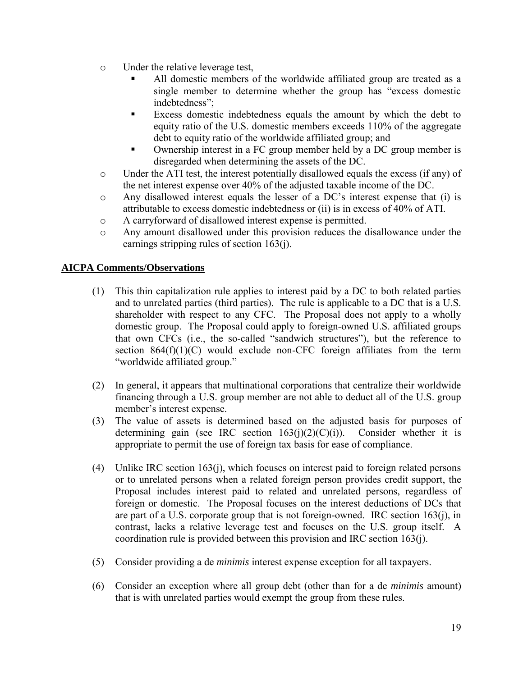- o Under the relative leverage test,
	- All domestic members of the worldwide affiliated group are treated as a single member to determine whether the group has "excess domestic indebtedness";
	- Excess domestic indebtedness equals the amount by which the debt to equity ratio of the U.S. domestic members exceeds 110% of the aggregate debt to equity ratio of the worldwide affiliated group; and
	- Ownership interest in a FC group member held by a DC group member is disregarded when determining the assets of the DC.
- o Under the ATI test, the interest potentially disallowed equals the excess (if any) of the net interest expense over 40% of the adjusted taxable income of the DC.
- o Any disallowed interest equals the lesser of a DC's interest expense that (i) is attributable to excess domestic indebtedness or (ii) is in excess of 40% of ATI.
- o A carryforward of disallowed interest expense is permitted.
- o Any amount disallowed under this provision reduces the disallowance under the earnings stripping rules of section 163(j).

- (1) This thin capitalization rule applies to interest paid by a DC to both related parties and to unrelated parties (third parties). The rule is applicable to a DC that is a U.S. shareholder with respect to any CFC. The Proposal does not apply to a wholly domestic group. The Proposal could apply to foreign-owned U.S. affiliated groups that own CFCs (i.e., the so-called "sandwich structures"), but the reference to section  $864(f)(1)(C)$  would exclude non-CFC foreign affiliates from the term "worldwide affiliated group."
- (2) In general, it appears that multinational corporations that centralize their worldwide financing through a U.S. group member are not able to deduct all of the U.S. group member's interest expense.
- (3) The value of assets is determined based on the adjusted basis for purposes of determining gain (see IRC section  $163(i)(2)(C)(i)$ ). Consider whether it is appropriate to permit the use of foreign tax basis for ease of compliance.
- (4) Unlike IRC section 163(j), which focuses on interest paid to foreign related persons or to unrelated persons when a related foreign person provides credit support, the Proposal includes interest paid to related and unrelated persons, regardless of foreign or domestic. The Proposal focuses on the interest deductions of DCs that are part of a U.S. corporate group that is not foreign-owned. IRC section  $163(i)$ , in contrast, lacks a relative leverage test and focuses on the U.S. group itself. A coordination rule is provided between this provision and IRC section 163(j).
- (5) Consider providing a de *minimis* interest expense exception for all taxpayers.
- (6) Consider an exception where all group debt (other than for a de *minimis* amount) that is with unrelated parties would exempt the group from these rules.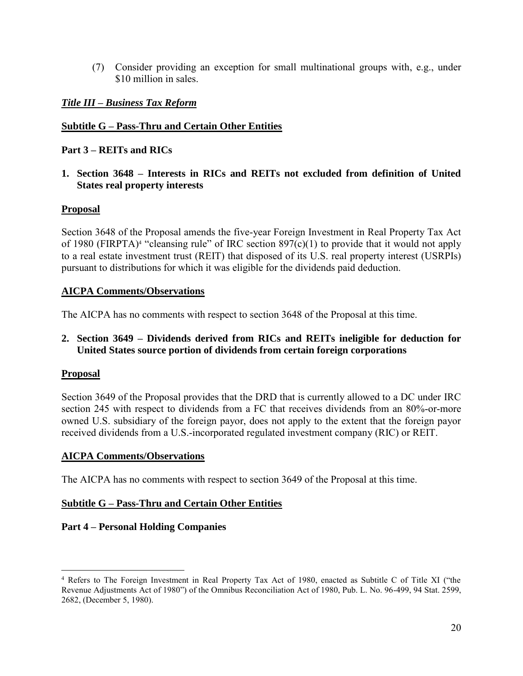(7) Consider providing an exception for small multinational groups with, e.g., under \$10 million in sales.

# *Title III – Business Tax Reform*

# **Subtitle G – Pass-Thru and Certain Other Entities**

# **Part 3 – REITs and RICs**

**1. Section 3648 – Interests in RICs and REITs not excluded from definition of United States real property interests** 

## **Proposal**

Section 3648 of the Proposal amends the five-year Foreign Investment in Real Property Tax Act of 1980 (FIRPTA)<sup>4</sup> "cleansing rule" of IRC section  $897(c)(1)$  to provide that it would not apply to a real estate investment trust (REIT) that disposed of its U.S. real property interest (USRPIs) pursuant to distributions for which it was eligible for the dividends paid deduction.

## **AICPA Comments/Observations**

The AICPA has no comments with respect to section 3648 of the Proposal at this time.

## **2. Section 3649 – Dividends derived from RICs and REITs ineligible for deduction for United States source portion of dividends from certain foreign corporations**

## **Proposal**

 $\overline{a}$ 

Section 3649 of the Proposal provides that the DRD that is currently allowed to a DC under IRC section 245 with respect to dividends from a FC that receives dividends from an 80%-or-more owned U.S. subsidiary of the foreign payor, does not apply to the extent that the foreign payor received dividends from a U.S.-incorporated regulated investment company (RIC) or REIT.

## **AICPA Comments/Observations**

The AICPA has no comments with respect to section 3649 of the Proposal at this time.

## **Subtitle G – Pass-Thru and Certain Other Entities**

## **Part 4 – Personal Holding Companies**

<sup>4</sup> Refers to The Foreign Investment in Real Property Tax Act of 1980, enacted as Subtitle C of Title XI ("the Revenue Adjustments Act of 1980") of the Omnibus Reconciliation Act of 1980, Pub. L. No. 96-499, 94 Stat. 2599, 2682, (December 5, 1980).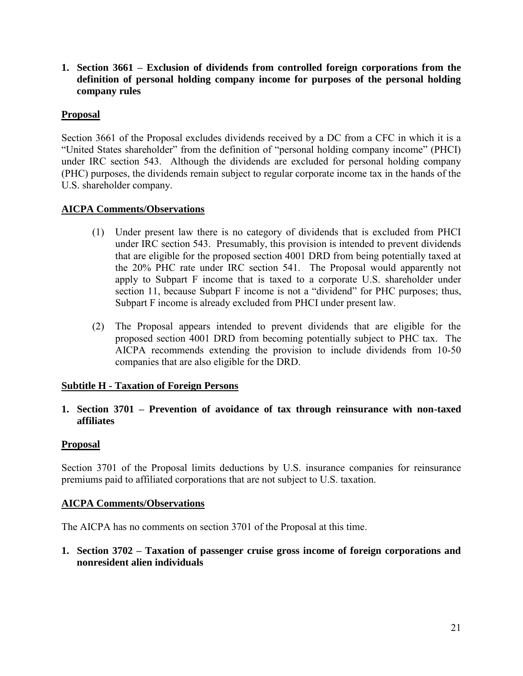**1. Section 3661 – Exclusion of dividends from controlled foreign corporations from the definition of personal holding company income for purposes of the personal holding company rules** 

# **Proposal**

Section 3661 of the Proposal excludes dividends received by a DC from a CFC in which it is a "United States shareholder" from the definition of "personal holding company income" (PHCI) under IRC section 543. Although the dividends are excluded for personal holding company (PHC) purposes, the dividends remain subject to regular corporate income tax in the hands of the U.S. shareholder company.

## **AICPA Comments/Observations**

- (1) Under present law there is no category of dividends that is excluded from PHCI under IRC section 543. Presumably, this provision is intended to prevent dividends that are eligible for the proposed section 4001 DRD from being potentially taxed at the 20% PHC rate under IRC section 541. The Proposal would apparently not apply to Subpart F income that is taxed to a corporate U.S. shareholder under section 11, because Subpart F income is not a "dividend" for PHC purposes; thus, Subpart F income is already excluded from PHCI under present law.
- (2) The Proposal appears intended to prevent dividends that are eligible for the proposed section 4001 DRD from becoming potentially subject to PHC tax. The AICPA recommends extending the provision to include dividends from 10-50 companies that are also eligible for the DRD.

## **Subtitle H - Taxation of Foreign Persons**

**1. Section 3701 – Prevention of avoidance of tax through reinsurance with non-taxed affiliates** 

## **Proposal**

Section 3701 of the Proposal limits deductions by U.S. insurance companies for reinsurance premiums paid to affiliated corporations that are not subject to U.S. taxation.

## **AICPA Comments/Observations**

The AICPA has no comments on section 3701 of the Proposal at this time.

**1. Section 3702 – Taxation of passenger cruise gross income of foreign corporations and nonresident alien individuals**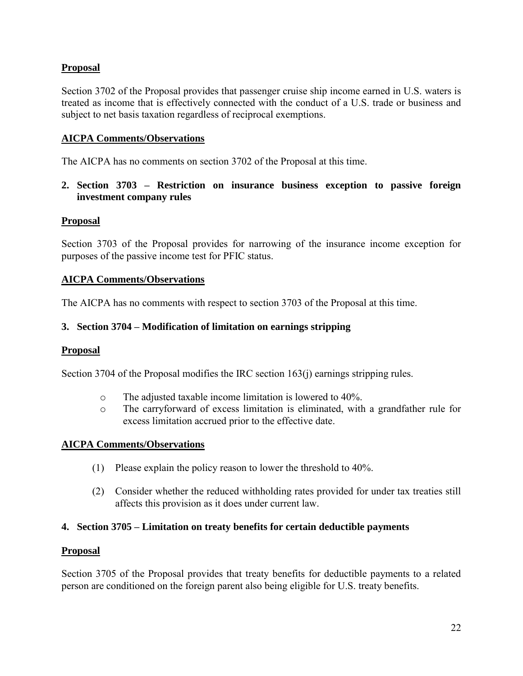# **Proposal**

Section 3702 of the Proposal provides that passenger cruise ship income earned in U.S. waters is treated as income that is effectively connected with the conduct of a U.S. trade or business and subject to net basis taxation regardless of reciprocal exemptions.

## **AICPA Comments/Observations**

The AICPA has no comments on section 3702 of the Proposal at this time.

**2. Section 3703 – Restriction on insurance business exception to passive foreign investment company rules** 

#### **Proposal**

Section 3703 of the Proposal provides for narrowing of the insurance income exception for purposes of the passive income test for PFIC status.

#### **AICPA Comments/Observations**

The AICPA has no comments with respect to section 3703 of the Proposal at this time.

#### **3. Section 3704 – Modification of limitation on earnings stripping**

#### **Proposal**

Section 3704 of the Proposal modifies the IRC section 163(j) earnings stripping rules.

- o The adjusted taxable income limitation is lowered to 40%.
- o The carryforward of excess limitation is eliminated, with a grandfather rule for excess limitation accrued prior to the effective date.

#### **AICPA Comments/Observations**

- (1) Please explain the policy reason to lower the threshold to 40%.
- (2) Consider whether the reduced withholding rates provided for under tax treaties still affects this provision as it does under current law.

#### **4. Section 3705 – Limitation on treaty benefits for certain deductible payments**

#### **Proposal**

Section 3705 of the Proposal provides that treaty benefits for deductible payments to a related person are conditioned on the foreign parent also being eligible for U.S. treaty benefits.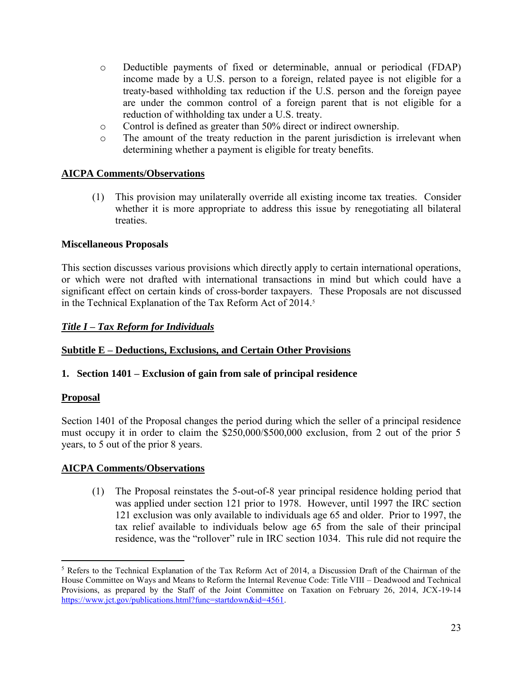- o Deductible payments of fixed or determinable, annual or periodical (FDAP) income made by a U.S. person to a foreign, related payee is not eligible for a treaty-based withholding tax reduction if the U.S. person and the foreign payee are under the common control of a foreign parent that is not eligible for a reduction of withholding tax under a U.S. treaty.
- o Control is defined as greater than 50% direct or indirect ownership.
- o The amount of the treaty reduction in the parent jurisdiction is irrelevant when determining whether a payment is eligible for treaty benefits.

(1) This provision may unilaterally override all existing income tax treaties. Consider whether it is more appropriate to address this issue by renegotiating all bilateral treaties.

## **Miscellaneous Proposals**

This section discusses various provisions which directly apply to certain international operations, or which were not drafted with international transactions in mind but which could have a significant effect on certain kinds of cross-border taxpayers. These Proposals are not discussed in the Technical Explanation of the Tax Reform Act of 2014.<sup>5</sup>

## *Title I – Tax Reform for Individuals*

## **Subtitle E – Deductions, Exclusions, and Certain Other Provisions**

## **1. Section 1401 – Exclusion of gain from sale of principal residence**

## **Proposal**

Section 1401 of the Proposal changes the period during which the seller of a principal residence must occupy it in order to claim the \$250,000/\$500,000 exclusion, from 2 out of the prior 5 years, to 5 out of the prior 8 years.

#### **AICPA Comments/Observations**

(1) The Proposal reinstates the 5-out-of-8 year principal residence holding period that was applied under section 121 prior to 1978. However, until 1997 the IRC section 121 exclusion was only available to individuals age 65 and older. Prior to 1997, the tax relief available to individuals below age 65 from the sale of their principal residence, was the "rollover" rule in IRC section 1034. This rule did not require the

 $\overline{a}$ <sup>5</sup> Refers to the Technical Explanation of the Tax Reform Act of 2014, a Discussion Draft of the Chairman of the House Committee on Ways and Means to Reform the Internal Revenue Code: Title VIII – Deadwood and Technical Provisions, as prepared by the Staff of the Joint Committee on Taxation on February 26, 2014, JCX-19-14 [https://www.jct.gov/publications.html?func=startdown&id=4561.](https://www.jct.gov/publications.html?func=startdown&id=4561)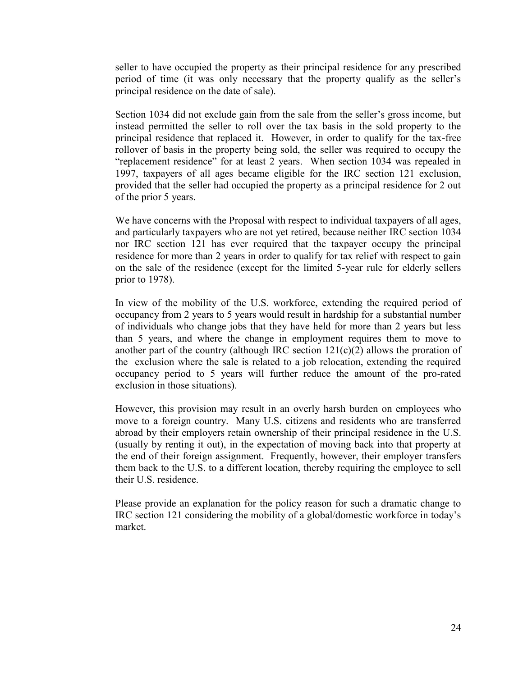seller to have occupied the property as their principal residence for any prescribed period of time (it was only necessary that the property qualify as the seller's principal residence on the date of sale).

Section 1034 did not exclude gain from the sale from the seller's gross income, but instead permitted the seller to roll over the tax basis in the sold property to the principal residence that replaced it. However, in order to qualify for the tax-free rollover of basis in the property being sold, the seller was required to occupy the "replacement residence" for at least 2 years. When section 1034 was repealed in 1997, taxpayers of all ages became eligible for the IRC section 121 exclusion, provided that the seller had occupied the property as a principal residence for 2 out of the prior 5 years.

We have concerns with the Proposal with respect to individual taxpayers of all ages, and particularly taxpayers who are not yet retired, because neither IRC section 1034 nor IRC section 121 has ever required that the taxpayer occupy the principal residence for more than 2 years in order to qualify for tax relief with respect to gain on the sale of the residence (except for the limited 5-year rule for elderly sellers prior to 1978).

In view of the mobility of the U.S. workforce, extending the required period of occupancy from 2 years to 5 years would result in hardship for a substantial number of individuals who change jobs that they have held for more than 2 years but less than 5 years, and where the change in employment requires them to move to another part of the country (although IRC section  $121(c)(2)$  allows the proration of the exclusion where the sale is related to a job relocation, extending the required occupancy period to 5 years will further reduce the amount of the pro-rated exclusion in those situations).

However, this provision may result in an overly harsh burden on employees who move to a foreign country. Many U.S. citizens and residents who are transferred abroad by their employers retain ownership of their principal residence in the U.S. (usually by renting it out), in the expectation of moving back into that property at the end of their foreign assignment. Frequently, however, their employer transfers them back to the U.S. to a different location, thereby requiring the employee to sell their U.S. residence.

Please provide an explanation for the policy reason for such a dramatic change to IRC section 121 considering the mobility of a global/domestic workforce in today's market.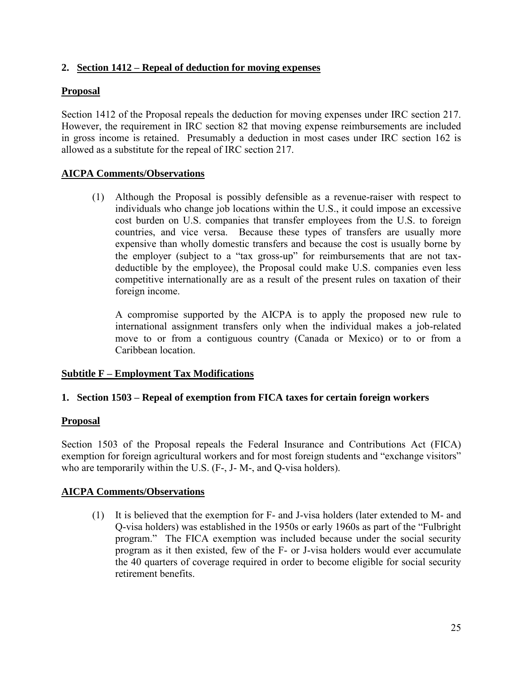# **2. Section 1412 – Repeal of deduction for moving expenses**

# **Proposal**

Section 1412 of the Proposal repeals the deduction for moving expenses under IRC section 217. However, the requirement in IRC section 82 that moving expense reimbursements are included in gross income is retained. Presumably a deduction in most cases under IRC section 162 is allowed as a substitute for the repeal of IRC section 217.

# **AICPA Comments/Observations**

(1) Although the Proposal is possibly defensible as a revenue-raiser with respect to individuals who change job locations within the U.S., it could impose an excessive cost burden on U.S. companies that transfer employees from the U.S. to foreign countries, and vice versa. Because these types of transfers are usually more expensive than wholly domestic transfers and because the cost is usually borne by the employer (subject to a "tax gross-up" for reimbursements that are not taxdeductible by the employee), the Proposal could make U.S. companies even less competitive internationally are as a result of the present rules on taxation of their foreign income.

A compromise supported by the AICPA is to apply the proposed new rule to international assignment transfers only when the individual makes a job-related move to or from a contiguous country (Canada or Mexico) or to or from a Caribbean location.

## **Subtitle F – Employment Tax Modifications**

## **1. Section 1503 – Repeal of exemption from FICA taxes for certain foreign workers**

## **Proposal**

Section 1503 of the Proposal repeals the Federal Insurance and Contributions Act (FICA) exemption for foreign agricultural workers and for most foreign students and "exchange visitors" who are temporarily within the U.S. (F-, J- M-, and Q-visa holders).

## **AICPA Comments/Observations**

(1) It is believed that the exemption for F- and J-visa holders (later extended to M- and Q-visa holders) was established in the 1950s or early 1960s as part of the "Fulbright program." The FICA exemption was included because under the social security program as it then existed, few of the F- or J-visa holders would ever accumulate the 40 quarters of coverage required in order to become eligible for social security retirement benefits.